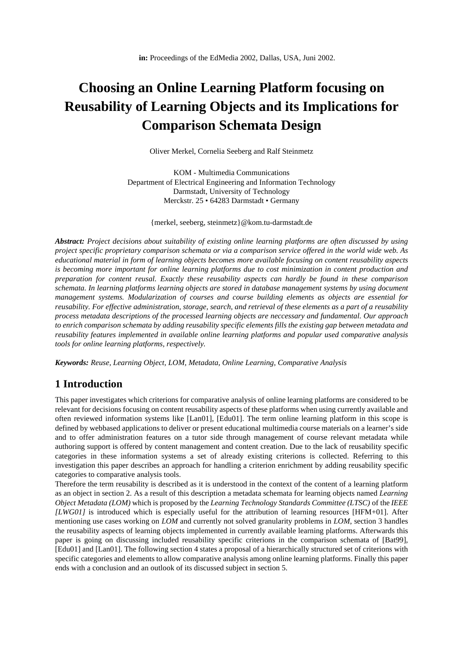# **Choosing an Online Learning Platform focusing on Reusability of Learning Objects and its Implications for Comparison Schemata Design**

Oliver Merkel, Cornelia Seeberg and Ralf Steinmetz

KOM - Multimedia Communications Department of Electrical Engineering and Information Technology Darmstadt, University of Technology Merckstr. 25 • 64283 Darmstadt • Germany

{merkel, seeberg, steinmetz}@kom.tu-darmstadt.de

*Abstract: Project decisions about suitability of existing online learning platforms are often discussed by using project specific proprietary comparison schemata or via a comparison service offered in the world wide web. As educational material in form of learning objects becomes more available focusing on content reusability aspects is becoming more important for online learning platforms due to cost minimization in content production and preparation for content reusal. Exactly these reusability aspects can hardly be found in these comparison schemata. In learning platforms learning objects are stored in database management systems by using document management systems. Modularization of courses and course building elements as objects are essential for reusability. For effective administration, storage, search, and retrieval of these elements as a part of a reusability process metadata descriptions of the processed learning objects are neccessary and fundamental. Our approach to enrich comparison schemata by adding reusability specific elements fills the existing gap between metadata and reusability features implemented in available online learning platforms and popular used comparative analysis tools for online learning platforms, respectively.*

*Keywords: Reuse, Learning Object, LOM, Metadata, Online Learning, Comparative Analysis*

### **1 Introduction**

This paper investigates which criterions for comparative analysis of online learning platforms are considered to be relevant for decisions focusing on content reusability aspects of these platforms when using currently available and often reviewed information systems like [Lan01], [Edu01]. The term online learning platform in this scope is defined by webbased applications to deliver or present educational multimedia course materials on a learner's side and to offer administration features on a tutor side through management of course relevant metadata while authoring support is offered by content management and content creation. Due to the lack of reusability specific categories in these information systems a set of already existing criterions is collected. Referring to this investigation this paper describes an approach for handling a criterion enrichment by adding reusability specific categories to comparative analysis tools.

Therefore the term reusability is described as it is understood in the context of the content of a learning platform as an object in section 2. As a result of this description a metadata schemata for learning objects named *Learning Object Metadata (LOM)* which is proposed by the *Learning Technology Standards Committee (LTSC)* of the *IEEE [LWG01]* is introduced which is especially useful for the attribution of learning resources [HFM+01]. After mentioning use cases working on *LOM* and currently not solved granularity problems in *LOM*, section 3 handles the reusability aspects of learning objects implemented in currently available learning platforms. Afterwards this paper is going on discussing included reusability specific criterions in the comparison schemata of [Bat99], [Edu01] and [Lan01]. The following section 4 states a proposal of a hierarchically structured set of criterions with specific categories and elements to allow comparative analysis among online learning platforms. Finally this paper ends with a conclusion and an outlook of its discussed subject in section 5.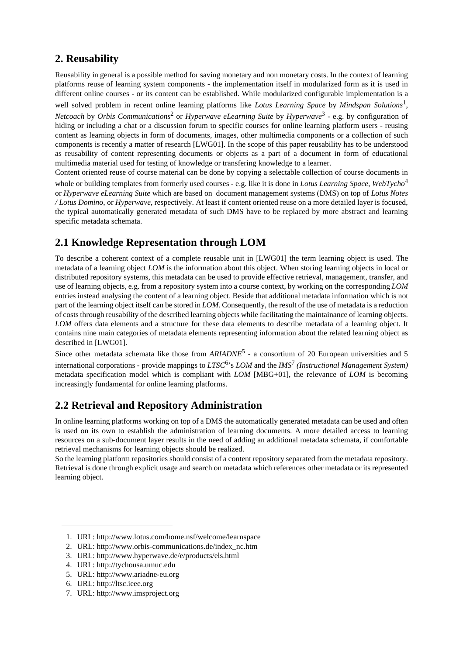# **2. Reusability**

Reusability in general is a possible method for saving monetary and non monetary costs. In the context of learning platforms reuse of learning system components - the implementation itself in modularized form as it is used in different online courses - or its content can be established. While modularized configurable implementation is a well solved problem in recent online learning platforms like *Lotus Learning Space* by *Mindspan Solutions*<sup>1</sup> , *Netcoach* by *Orbis Communications*<sup>2</sup> or *Hyperwave eLearning Suite* by *Hyperwave*<sup>3</sup> - e.g. by configuration of hiding or including a chat or a discussion forum to specific courses for online learning platform users - reusing content as learning objects in form of documents, images, other multimedia components or a collection of such components is recently a matter of research [LWG01]. In the scope of this paper reusability has to be understood as reusability of content representing documents or objects as a part of a document in form of educational multimedia material used for testing of knowledge or transfering knowledge to a learner. Content oriented reuse of course material can be done by copying a selectable collection of course documents in

whole or building templates from formerly used courses - e.g. like it is done in *Lotus Learning Space*, *WebTycho*<sup>4</sup> or *Hyperwave eLearning Suite* which are based on document management systems (DMS) on top of *Lotus Notes / Lotus Domino*, or *Hyperwave*, respectively. At least if content oriented reuse on a more detailed layer is focused, the typical automatically generated metadata of such DMS have to be replaced by more abstract and learning specific metadata schemata.

# **2.1 Knowledge Representation through LOM**

To describe a coherent context of a complete reusable unit in [LWG01] the term learning object is used. The metadata of a learning object *LOM* is the information about this object. When storing learning objects in local or distributed repository systems, this metadata can be used to provide effective retrieval, management, transfer, and use of learning objects, e.g. from a repository system into a course context, by working on the corresponding *LOM* entries instead analysing the content of a learning object. Beside that additional metadata information which is not part of the learning object itself can be stored in *LOM*. Consequently, the result of the use of metadata is a reduction of costs through reusability of the described learning objects while facilitating the maintainance of learning objects. *LOM* offers data elements and a structure for these data elements to describe metadata of a learning object. It contains nine main categories of metadata elements representing information about the related learning object as described in [LWG01].

Since other metadata schemata like those from *ARIADNE*<sup>5</sup> - a consortium of 20 European universities and 5 international corporations - provide mappings to *LTSC*<sup>6</sup> 's *LOM* and the *IMS*<sup>7</sup> *(Instructional Management System)* metadata specification model which is compliant with *LOM* [MBG+01], the relevance of *LOM* is becoming increasingly fundamental for online learning platforms.

# **2.2 Retrieval and Repository Administration**

In online learning platforms working on top of a DMS the automatically generated metadata can be used and often is used on its own to establish the administration of learning documents. A more detailed access to learning resources on a sub-document layer results in the need of adding an additional metadata schemata, if comfortable retrieval mechanisms for learning objects should be realized.

So the learning platform repositories should consist of a content repository separated from the metadata repository. Retrieval is done through explicit usage and search on metadata which references other metadata or its represented learning object.

- 2. URL: http://www.orbis-communications.de/index\_nc.htm
- 3. URL: http://www.hyperwave.de/e/products/els.html
- 4. URL: http://tychousa.umuc.edu

- 6. URL: http://ltsc.ieee.org
- 7. URL: http://www.imsproject.org

<sup>1.</sup> URL: http://www.lotus.com/home.nsf/welcome/learnspace

<sup>5.</sup> URL: http://www.ariadne-eu.org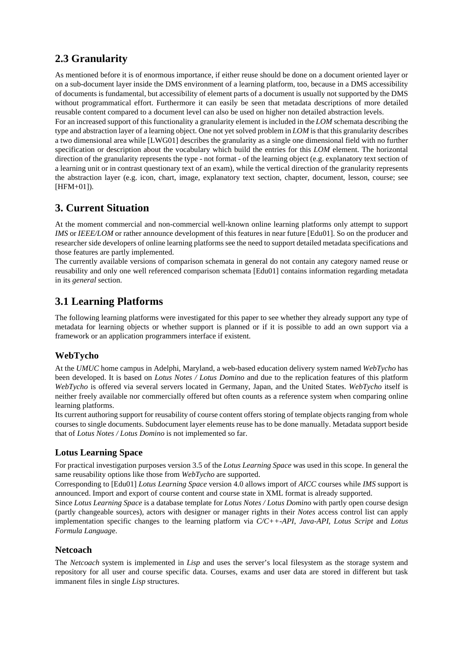# **2.3 Granularity**

As mentioned before it is of enormous importance, if either reuse should be done on a document oriented layer or on a sub-document layer inside the DMS environment of a learning platform, too, because in a DMS accessibility of documents is fundamental, but accessibility of element parts of a document is usually not supported by the DMS without programmatical effort. Furthermore it can easily be seen that metadata descriptions of more detailed reusable content compared to a document level can also be used on higher non detailed abstraction levels.

For an increased support of this functionality a granularity element is included in the *LOM* schemata describing the type and abstraction layer of a learning object. One not yet solved problem in *LOM* is that this granularity describes a two dimensional area while [LWG01] describes the granularity as a single one dimensional field with no further specification or description about the vocabulary which build the entries for this *LOM* element. The horizontal direction of the granularity represents the type - not format - of the learning object (e.g. explanatory text section of a learning unit or in contrast questionary text of an exam), while the vertical direction of the granularity represents the abstraction layer (e.g. icon, chart, image, explanatory text section, chapter, document, lesson, course; see [HFM+01]).

# **3. Current Situation**

At the moment commercial and non-commercial well-known online learning platforms only attempt to support *IMS* or *IEEE/LOM* or rather announce development of this features in near future [Edu01]. So on the producer and researcher side developers of online learning platforms see the need to support detailed metadata specifications and those features are partly implemented.

The currently available versions of comparison schemata in general do not contain any category named reuse or reusability and only one well referenced comparison schemata [Edu01] contains information regarding metadata in its *general* section.

# **3.1 Learning Platforms**

The following learning platforms were investigated for this paper to see whether they already support any type of metadata for learning objects or whether support is planned or if it is possible to add an own support via a framework or an application programmers interface if existent.

#### **WebTycho**

At the *UMUC* home campus in Adelphi, Maryland, a web-based education delivery system named *WebTycho* has been developed. It is based on *Lotus Notes / Lotus Domino* and due to the replication features of this platform *WebTycho* is offered via several servers located in Germany, Japan, and the United States. *WebTycho* itself is neither freely available nor commercially offered but often counts as a reference system when comparing online learning platforms.

Its current authoring support for reusability of course content offers storing of template objects ranging from whole courses to single documents. Subdocument layer elements reuse has to be done manually. Metadata support beside that of *Lotus Notes / Lotus Domino* is not implemented so far.

#### **Lotus Learning Space**

For practical investigation purposes version 3.5 of the *Lotus Learning Space* was used in this scope. In general the same reusability options like those from *WebTycho* are supported.

Corresponding to [Edu01] *Lotus Learning Space* version 4.0 allows import of *AICC* courses while *IMS* support is announced. Import and export of course content and course state in XML format is already supported.

Since *Lotus Learning Space* is a database template for *Lotus Notes / Lotus Domino* with partly open course design (partly changeable sources), actors with designer or manager rights in their *Notes* access control list can apply implementation specific changes to the learning platform via *C/C++-API*, *Java-API*, *Lotus Script* and *Lotus Formula Languag*e.

#### **Netcoach**

The *Netcoach* system is implemented in *Lisp* and uses the server's local filesystem as the storage system and repository for all user and course specific data. Courses, exams and user data are stored in different but task immanent files in single *Lisp* structures.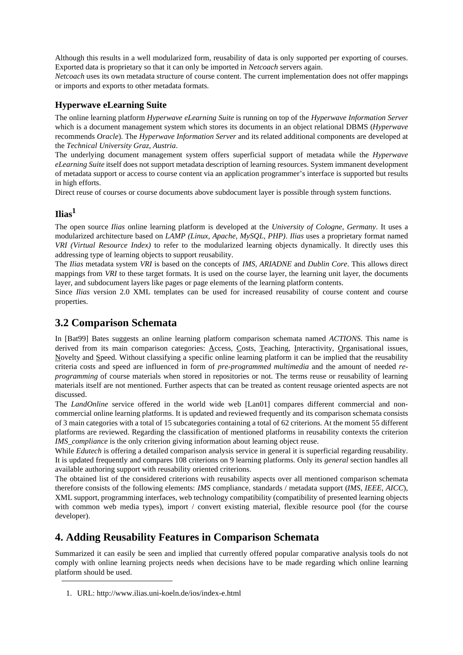Although this results in a well modularized form, reusability of data is only supported per exporting of courses. Exported data is proprietary so that it can only be imported in *Netcoach* servers again.

*Netcoach* uses its own metadata structure of course content. The current implementation does not offer mappings or imports and exports to other metadata formats.

#### **Hyperwave eLearning Suite**

The online learning platform *Hyperwave eLearning Suite* is running on top of the *Hyperwave Information Server* which is a document management system which stores its documents in an object relational DBMS (*Hyperwave* recommends *Oracle*). The *Hyperwave Information Server* and its related additional components are developed at the *Technical University Graz, Austria*.

The underlying document management system offers superficial support of metadata while the *Hyperwave eLearning Suite* itself does not support metadata description of learning resources. System immanent development of metadata support or access to course content via an application programmer's interface is supported but results in high efforts.

Direct reuse of courses or course documents above subdocument layer is possible through system functions.

#### **Ilias<sup>1</sup>**

The open source *Ilias* online learning platform is developed at the *University of Cologne, Germany*. It uses a modularized architecture based on *LAMP (Linux, Apache, MySQL, PHP)*. *Ilias* uses a proprietary format named *VRI (Virtual Resource Index)* to refer to the modularized learning objects dynamically. It directly uses this addressing type of learning objects to support reusability.

The *Ilias* metadata system *VRI* is based on the concepts of *IMS, ARIADNE* and *Dublin Core*. This allows direct mappings from *VRI* to these target formats. It is used on the course layer, the learning unit layer, the documents layer, and subdocument layers like pages or page elements of the learning platform contents.

Since *Ilias* version 2.0 XML templates can be used for increased reusability of course content and course properties.

### **3.2 Comparison Schemata**

In [Bat99] Bates suggests an online learning platform comparison schemata named *ACTIONS*. This name is derived from its main comparison categories: Access, Costs, Teaching, Interactivity, Organisational issues, Novelty and Speed. Without classifying a specific online learning platform it can be implied that the reusability criteria costs and speed are influenced in form of *pre-programmed multimedia* and the amount of needed *reprogramming* of course materials when stored in repositories or not. The terms reuse or reusability of learning materials itself are not mentioned. Further aspects that can be treated as content reusage oriented aspects are not discussed.

The *LandOnline* service offered in the world wide web [Lan01] compares different commercial and noncommercial online learning platforms. It is updated and reviewed frequently and its comparison schemata consists of 3 main categories with a total of 15 subcategories containing a total of 62 criterions. At the moment 55 different platforms are reviewed. Regarding the classification of mentioned platforms in reusability contexts the criterion *IMS\_compliance* is the only criterion giving information about learning object reuse.

While *Edutech* is offering a detailed comparison analysis service in general it is superficial regarding reusability. It is updated frequently and compares 108 criterions on 9 learning platforms. Only its *general* section handles all available authoring support with reusability oriented criterions.

The obtained list of the considered criterions with reusability aspects over all mentioned comparison schemata therefore consists of the following elements: *IMS* compliance, standards / metadata support (*IMS, IEEE, AICC*), XML support, programming interfaces, web technology compatibility (compatibility of presented learning objects with common web media types), import / convert existing material, flexible resource pool (for the course developer).

# **4. Adding Reusability Features in Comparison Schemata**

Summarized it can easily be seen and implied that currently offered popular comparative analysis tools do not comply with online learning projects needs when decisions have to be made regarding which online learning platform should be used.

<sup>1.</sup> URL: http://www.ilias.uni-koeln.de/ios/index-e.html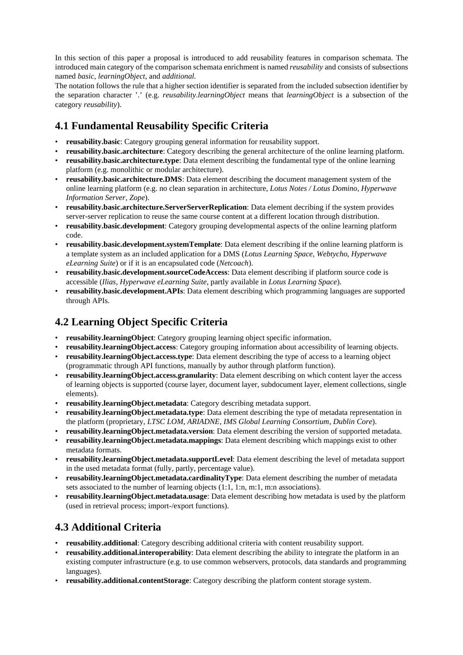In this section of this paper a proposal is introduced to add reusability features in comparison schemata. The introduced main category of the comparison schemata enrichment is named *reusability* and consists of subsections named *basic*, *learningObject*, and *additional.*

The notation follows the rule that a higher section identifier is separated from the included subsection identifier by the separation character '.' (e.g. *reusability.learningObject* means that *learningObject* is a subsection of the category *reusability*).

# **4.1 Fundamental Reusability Specific Criteria**

- **reusability.basic**: Category grouping general information for reusability support.
- **reusability.basic.architecture**: Category describing the general architecture of the online learning platform.
- **reusability.basic.architecture.type**: Data element describing the fundamental type of the online learning platform (e.g. monolithic or modular architecture).
- **reusability.basic.architecture.DMS**: Data element describing the document management system of the online learning platform (e.g. no clean separation in architecture, *Lotus Notes / Lotus Domino*, *Hyperwave Information Server*, *Zope*).
- **reusability.basic.architecture.ServerServerReplication**: Data element decribing if the system provides server-server replication to reuse the same course content at a different location through distribution.
- **reusability.basic.development**: Category grouping developmental aspects of the online learning platform code.
- **reusability.basic.development.systemTemplate**: Data element describing if the online learning platform is a template system as an included application for a DMS (*Lotus Learning Space*, *Webtycho*, *Hyperwave eLearning Suite*) or if it is an encapsulated code (*Netcoach*).
- **reusability.basic.development.sourceCodeAccess**: Data element describing if platform source code is accessible (*Ilias*, *Hyperwave eLearning Suite*, partly available in *Lotus Learning Space*).
- **reusability.basic.development.APIs**: Data element describing which programming languages are supported through APIs.

# **4.2 Learning Object Specific Criteria**

- **reusability.learningObject**: Category grouping learning object specific information.
- **reusability.learningObject.access**: Category grouping information about accessibility of learning objects.
- **reusability.learningObject.access.type**: Data element describing the type of access to a learning object (programmatic through API functions, manually by author through platform function).
- **reusability.learningObject.access.granularity**: Data element describing on which content layer the access of learning objects is supported (course layer, document layer, subdocument layer, element collections, single elements).
- **reusability.learningObject.metadata**: Category describing metadata support.
- **reusability.learningObject.metadata.type**: Data element describing the type of metadata representation in the platform (proprietary, *LTSC LOM*, *ARIADNE*, *IMS Global Learning Consortium*, *Dublin Core*).
- **reusability.learningObject.metadata.version**: Data element describing the version of supported metadata.
- **reusability.learningObject.metadata.mappings**: Data element describing which mappings exist to other metadata formats.
- **reusability.learningObject.metadata.supportLevel**: Data element describing the level of metadata support in the used metadata format (fully, partly, percentage value).
- **reusability.learningObject.metadata.cardinalityType**: Data element describing the number of metadata sets associated to the number of learning objects (1:1, 1:n, m:1, m:n associations).
- **reusability.learningObject.metadata.usage**: Data element describing how metadata is used by the platform (used in retrieval process; import-/export functions).

# **4.3 Additional Criteria**

- **reusability.additional**: Category describing additional criteria with content reusability support.
- **reusability.additional.interoperability**: Data element describing the ability to integrate the platform in an existing computer infrastructure (e.g. to use common webservers, protocols, data standards and programming languages).
- **reusability.additional.contentStorage**: Category describing the platform content storage system.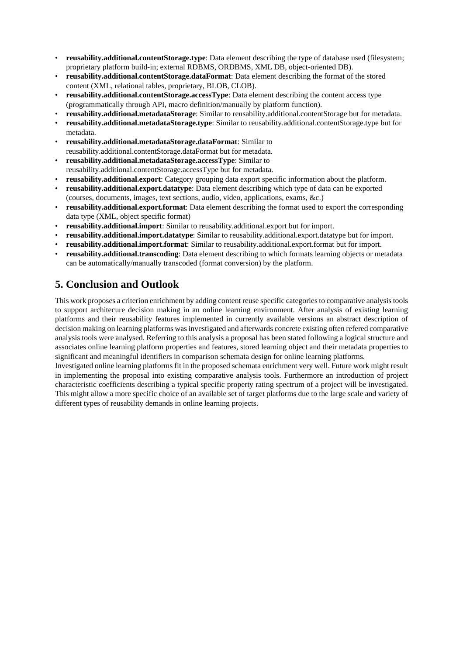- **reusability.additional.contentStorage.type**: Data element describing the type of database used (filesystem; proprietary platform build-in; external RDBMS, ORDBMS, XML DB, object-oriented DB).
- **reusability.additional.contentStorage.dataFormat**: Data element describing the format of the stored content (XML, relational tables, proprietary, BLOB, CLOB).
- **reusability.additional.contentStorage.accessType**: Data element describing the content access type (programmatically through API, macro definition/manually by platform function).
- **reusability.additional.metadataStorage**: Similar to reusability.additional.contentStorage but for metadata.
- **reusability.additional.metadataStorage.type**: Similar to reusability.additional.contentStorage.type but for metadata.
- **reusability.additional.metadataStorage.dataFormat**: Similar to reusability.additional.contentStorage.dataFormat but for metadata.
- **reusability.additional.metadataStorage.accessType**: Similar to reusability.additional.contentStorage.accessType but for metadata.
- **reusability.additional.export**: Category grouping data export specific information about the platform.
- **reusability.additional.export.datatype**: Data element describing which type of data can be exported (courses, documents, images, text sections, audio, video, applications, exams, &c.)
- **reusability.additional.export.format**: Data element describing the format used to export the corresponding data type (XML, object specific format)
- **reusability.additional.import**: Similar to reusability.additional.export but for import.
- **reusability.additional.import.datatype**: Similar to reusability.additional.export.datatype but for import.
- **reusability.additional.import.format**: Similar to reusability.additional.export.format but for import.
- **reusability.additional.transcoding**: Data element describing to which formats learning objects or metadata can be automatically/manually transcoded (format conversion) by the platform.

# **5. Conclusion and Outlook**

This work proposes a criterion enrichment by adding content reuse specific categories to comparative analysis tools to support architecure decision making in an online learning environment. After analysis of existing learning platforms and their reusability features implemented in currently available versions an abstract description of decision making on learning platforms was investigated and afterwards concrete existing often refered comparative analysis tools were analysed. Referring to this analysis a proposal has been stated following a logical structure and associates online learning platform properties and features, stored learning object and their metadata properties to significant and meaningful identifiers in comparison schemata design for online learning platforms.

Investigated online learning platforms fit in the proposed schemata enrichment very well. Future work might result in implementing the proposal into existing comparative analysis tools. Furthermore an introduction of project characteristic coefficients describing a typical specific property rating spectrum of a project will be investigated. This might allow a more specific choice of an available set of target platforms due to the large scale and variety of different types of reusability demands in online learning projects.